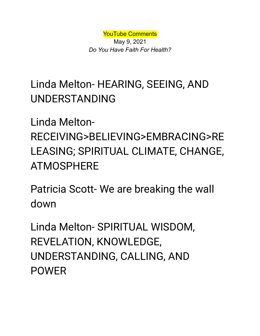YouTube Comments

May 9, 2021 *Do You Have Faith For Health?*

## Linda Melton- HEARING, SEEING, AND UNDERSTANDING

Linda Melton-RECEIVING>BELIEVING>EMBRACING>RE LEASING; SPIRITUAL CLIMATE, CHANGE, ATMOSPHERE

Patricia Scott- We are breaking the wall down

Linda Melton- SPIRITUAL WISDOM, REVELATION, KNOWLEDGE, UNDERSTANDING, CALLING, AND POWER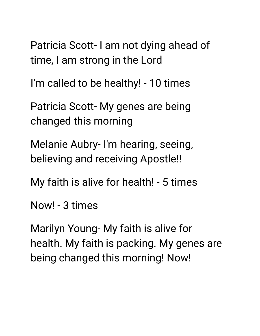Patricia Scott- I am not dying ahead of time, I am strong in the Lord

I'm called to be healthy! - 10 times

Patricia Scott- My genes are being changed this morning

Melanie Aubry- I'm hearing, seeing, believing and receiving Apostle!!

My faith is alive for health! - 5 times

Now! - 3 times

Marilyn Young- My faith is alive for health. My faith is packing. My genes are being changed this morning! Now!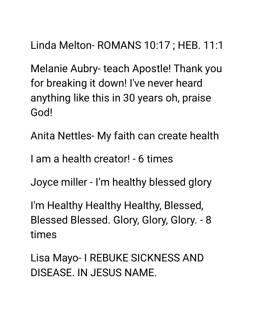Linda Melton- ROMANS 10:17 ; HEB. 11:1

Melanie Aubry- teach Apostle! Thank you for breaking it down! I've never heard anything like this in 30 years oh, praise God!

Anita Nettles- My faith can create health

I am a health creator! - 6 times

Joyce miller - I'm healthy blessed glory

I'm Healthy Healthy Healthy, Blessed, Blessed Blessed. Glory, Glory, Glory. - 8 times

Lisa Mayo- I REBUKE SICKNESS AND DISEASE. IN JESUS NAME.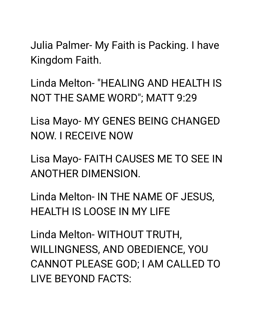Julia Palmer- My Faith is Packing. I have Kingdom Faith.

Linda Melton- "HEALING AND HEALTH IS NOT THE SAME WORD"; MATT 9:29

Lisa Mayo- MY GENES BEING CHANGED NOW. I RECEIVE NOW

Lisa Mayo- FAITH CAUSES ME TO SEE IN ANOTHER DIMENSION.

Linda Melton- IN THE NAME OF JESUS, HEALTH IS LOOSE IN MY LIFE

Linda Melton- WITHOUT TRUTH, WILLINGNESS, AND OBEDIENCE, YOU CANNOT PLEASE GOD; I AM CALLED TO LIVE BEYOND FACTS: